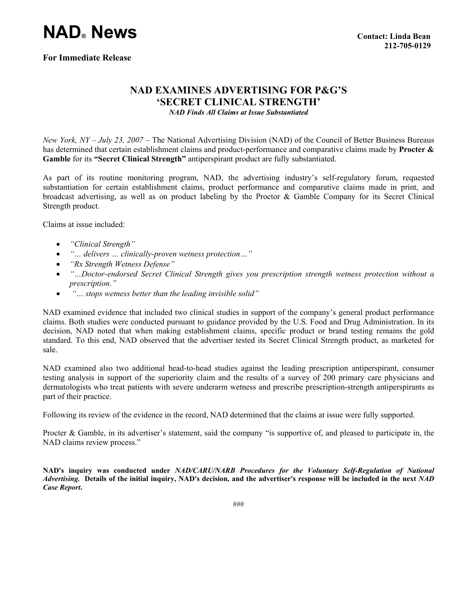## **NAD® News**

## **NAD EXAMINES ADVERTISING FOR P&G'S 'SECRET CLINICAL STRENGTH'**

*NAD Finds All Claims at Issue Substantiated* 

*New York, NY – July 23, 2007* – The National Advertising Division (NAD) of the Council of Better Business Bureaus has determined that certain establishment claims and product-performance and comparative claims made by **Procter & Gamble** for its **"Secret Clinical Strength"** antiperspirant product are fully substantiated.

As part of its routine monitoring program, NAD, the advertising industry's self-regulatory forum, requested substantiation for certain establishment claims, product performance and comparative claims made in print, and broadcast advertising, as well as on product labeling by the Proctor & Gamble Company for its Secret Clinical Strength product.

Claims at issue included:

- *"Clinical Strength"*
- *"… delivers … clinically-proven wetness protection…"*
- *"Rx Strength Wetness Defense"*
- *"…Doctor-endorsed Secret Clinical Strength gives you prescription strength wetness protection without a prescription."*
- • *"… stops wetness better than the leading invisible solid"*

NAD examined evidence that included two clinical studies in support of the company's general product performance claims. Both studies were conducted pursuant to guidance provided by the U.S. Food and Drug Administration. In its decision, NAD noted that when making establishment claims, specific product or brand testing remains the gold standard. To this end, NAD observed that the advertiser tested its Secret Clinical Strength product, as marketed for sale.

NAD examined also two additional head-to-head studies against the leading prescription antiperspirant, consumer testing analysis in support of the superiority claim and the results of a survey of 200 primary care physicians and dermatologists who treat patients with severe underarm wetness and prescribe prescription-strength antiperspirants as part of their practice.

Following its review of the evidence in the record, NAD determined that the claims at issue were fully supported.

Procter & Gamble, in its advertiser's statement, said the company "is supportive of, and pleased to participate in, the NAD claims review process."

**NAD's inquiry was conducted under** *NAD/CARU/NARB Procedures for the Voluntary Self-Regulation of National Advertising.* **Details of the initial inquiry, NAD's decision, and the advertiser's response will be included in the next** *NAD Case Report***.**